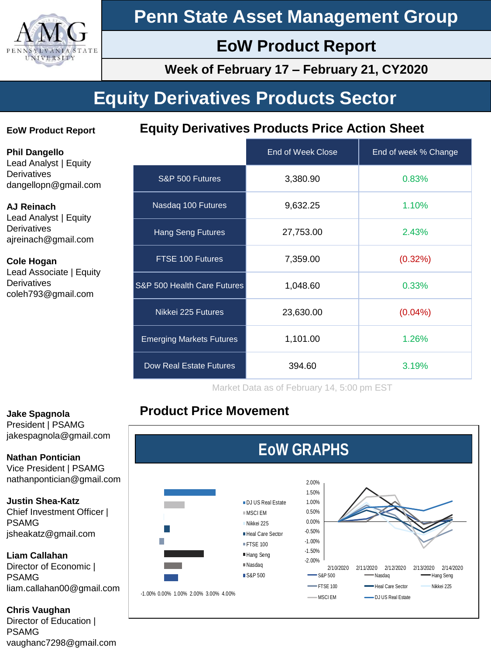

# **Penn State Asset Management Group**

# **EoW Product Report**

**Week of February 17 – February 21, CY2020**

# **Equity Derivatives Products Sector**

#### **EoW Product Report**

**Equity Derivatives Products Price Action Sheet**

**Phil Dangello** Lead Analyst | Equity **Derivatives** dangellopn@gmail.com

#### **AJ Reinach**

Lead Analyst | Equity **Derivatives** ajreinach@gmail.com

#### **Cole Hogan** Lead Associate | Equity **Derivatives** coleh793@gmail.com

|                                 | <b>End of Week Close</b> | End of week % Change |
|---------------------------------|--------------------------|----------------------|
| S&P 500 Futures                 | 3,380.90                 | 0.83%                |
| Nasdaq 100 Futures              | 9,632.25                 | 1.10%                |
| <b>Hang Seng Futures</b>        | 27,753.00                | 2.43%                |
| FTSE 100 Futures                | 7,359.00                 | $(0.32\%)$           |
| S&P 500 Health Care Futures     | 1,048.60                 | 0.33%                |
| Nikkei 225 Futures              | 23,630.00                | $(0.04\%)$           |
| <b>Emerging Markets Futures</b> | 1,101.00                 | 1.26%                |
| <b>Dow Real Estate Futures</b>  | 394.60                   | 3.19%                |

Market Data as of February 14, 5:00 pm EST

## **Product Price Movement**



#### **Jake Spagnola**

President | PSAMG jakespagnola@gmail.com

**Nathan Pontician** Vice President | PSAMG nathanpontician@gmail.com

**Justin Shea-Katz** Chief Investment Officer | PSAMG jsheakatz@gmail.com

#### **Liam Callahan**

Director of Economic | PSAMG liam.callahan00@gmail.com

#### **Chris Vaughan**

Director of Education | PSAMG vaughanc7298@gmail.com